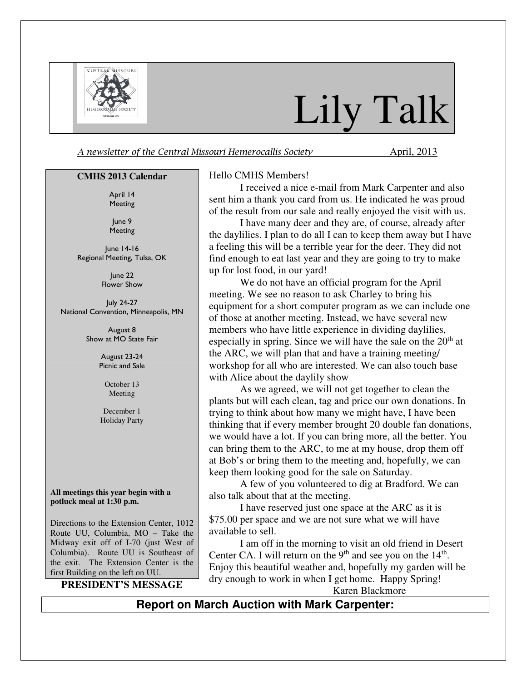

# Lily Talk

A newsletter of the Central Missouri Hemerocallis Society **April**, 2013

#### **CMHS 2013 Calendar**

April 14 Meeting

June 9 Meeting

June 14-16 Regional Meeting, Tulsa, OK

> June 22 Flower Show

July 24-27 National Convention, Minneapolis, MN

> August 8 Show at MO State Fair

> > August 23-24 Picnic and Sale

> > > October 13 Meeting

December 1 Holiday Party

**All meetings this year begin with a potluck meal at 1:30 p.m.** 

Directions to the Extension Center, 1012 Route UU, Columbia, MO – Take the Midway exit off of I-70 (just West of Columbia). Route UU is Southeast of the exit. The Extension Center is the first Building on the left on UU.

**PRESIDENT'S MESSAGE** 

#### Hello CMHS Members!

I received a nice e-mail from Mark Carpenter and also sent him a thank you card from us. He indicated he was proud of the result from our sale and really enjoyed the visit with us.

I have many deer and they are, of course, already after the daylilies. I plan to do all I can to keep them away but I have a feeling this will be a terrible year for the deer. They did not find enough to eat last year and they are going to try to make up for lost food, in our yard!

We do not have an official program for the April meeting. We see no reason to ask Charley to bring his equipment for a short computer program as we can include one of those at another meeting. Instead, we have several new members who have little experience in dividing daylilies, especially in spring. Since we will have the sale on the  $20<sup>th</sup>$  at the ARC, we will plan that and have a training meeting/ workshop for all who are interested. We can also touch base with Alice about the daylily show

As we agreed, we will not get together to clean the plants but will each clean, tag and price our own donations. In trying to think about how many we might have, I have been thinking that if every member brought 20 double fan donations, we would have a lot. If you can bring more, all the better. You can bring them to the ARC, to me at my house, drop them off at Bob's or bring them to the meeting and, hopefully, we can keep them looking good for the sale on Saturday.

A few of you volunteered to dig at Bradford. We can also talk about that at the meeting.

I have reserved just one space at the ARC as it is \$75.00 per space and we are not sure what we will have available to sell.

I am off in the morning to visit an old friend in Desert Center CA. I will return on the  $9<sup>th</sup>$  and see you on the  $14<sup>th</sup>$ . Enjoy this beautiful weather and, hopefully my garden will be dry enough to work in when I get home. Happy Spring! Karen Blackmore

### **Report on March Auction with Mark Carpenter:**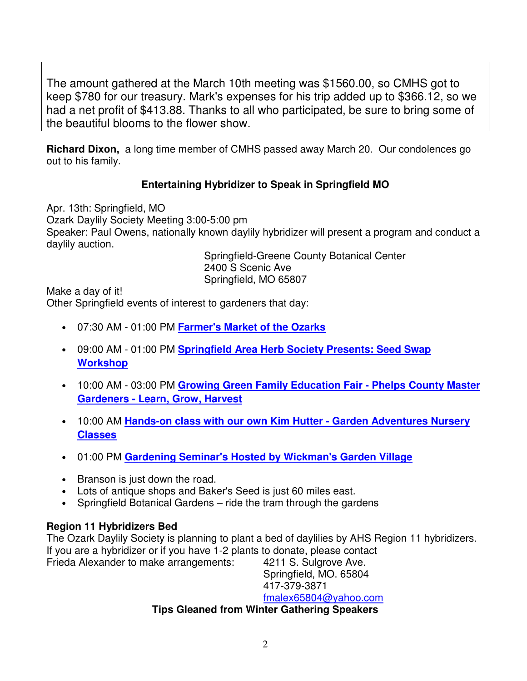The amount gathered at the March 10th meeting was \$1560.00, so CMHS got to keep \$780 for our treasury. Mark's expenses for his trip added up to \$366.12, so we had a net profit of \$413.88. Thanks to all who participated, be sure to bring some of the beautiful blooms to the flower show.

**Richard Dixon,** a long time member of CMHS passed away March 20. Our condolences go out to his family.

## **Entertaining Hybridizer to Speak in Springfield MO**

Apr. 13th: Springfield, MO Ozark Daylily Society Meeting 3:00-5:00 pm Speaker: Paul Owens, nationally known daylily hybridizer will present a program and conduct a daylily auction.

 Springfield-Greene County Botanical Center 2400 S Scenic Ave Springfield, MO 65807

Make a day of it!

Other Springfield events of interest to gardeners that day:

- 07:30 AM 01:00 PM **Farmer's Market of the Ozarks**
- 09:00 AM 01:00 PM **Springfield Area Herb Society Presents: Seed Swap Workshop**
- 10:00 AM 03:00 PM **Growing Green Family Education Fair Phelps County Master Gardeners - Learn, Grow, Harvest**
- 10:00 AM **Hands-on class with our own Kim Hutter Garden Adventures Nursery Classes**
- 01:00 PM **Gardening Seminar's Hosted by Wickman's Garden Village**
- Branson is just down the road.
- Lots of antique shops and Baker's Seed is just 60 miles east.
- Springfield Botanical Gardens ride the tram through the gardens

## **Region 11 Hybridizers Bed**

The Ozark Daylily Society is planning to plant a bed of daylilies by AHS Region 11 hybridizers. If you are a hybridizer or if you have 1-2 plants to donate, please contact Frieda Alexander to make arrangements: 4211 S. Sulgrove Ave.

Springfield, MO. 65804 417-379-3871 fmalex65804@yahoo.com

## **Tips Gleaned from Winter Gathering Speakers**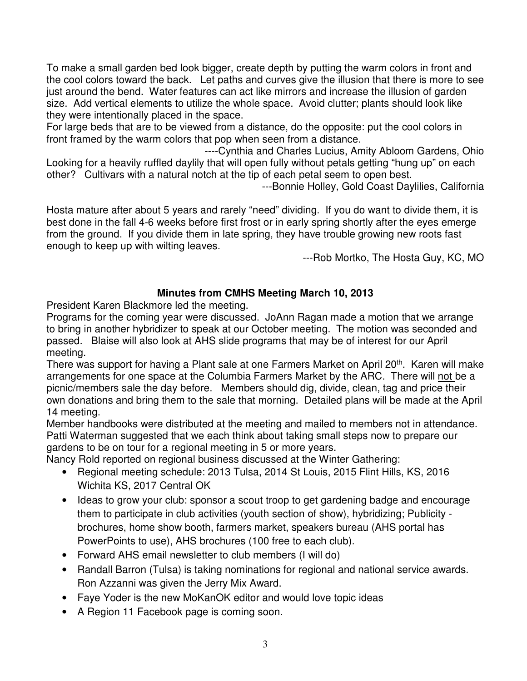To make a small garden bed look bigger, create depth by putting the warm colors in front and the cool colors toward the back. Let paths and curves give the illusion that there is more to see just around the bend. Water features can act like mirrors and increase the illusion of garden size. Add vertical elements to utilize the whole space. Avoid clutter; plants should look like they were intentionally placed in the space.

For large beds that are to be viewed from a distance, do the opposite: put the cool colors in front framed by the warm colors that pop when seen from a distance.

----Cynthia and Charles Lucius, Amity Abloom Gardens, Ohio Looking for a heavily ruffled daylily that will open fully without petals getting "hung up" on each other? Cultivars with a natural notch at the tip of each petal seem to open best.

---Bonnie Holley, Gold Coast Daylilies, California

Hosta mature after about 5 years and rarely "need" dividing. If you do want to divide them, it is best done in the fall 4-6 weeks before first frost or in early spring shortly after the eyes emerge from the ground. If you divide them in late spring, they have trouble growing new roots fast enough to keep up with wilting leaves.

---Rob Mortko, The Hosta Guy, KC, MO

## **Minutes from CMHS Meeting March 10, 2013**

President Karen Blackmore led the meeting.

Programs for the coming year were discussed. JoAnn Ragan made a motion that we arrange to bring in another hybridizer to speak at our October meeting. The motion was seconded and passed. Blaise will also look at AHS slide programs that may be of interest for our April meeting.

There was support for having a Plant sale at one Farmers Market on April 20<sup>th</sup>. Karen will make arrangements for one space at the Columbia Farmers Market by the ARC. There will not be a picnic/members sale the day before. Members should dig, divide, clean, tag and price their own donations and bring them to the sale that morning. Detailed plans will be made at the April 14 meeting.

Member handbooks were distributed at the meeting and mailed to members not in attendance. Patti Waterman suggested that we each think about taking small steps now to prepare our gardens to be on tour for a regional meeting in 5 or more years.

Nancy Rold reported on regional business discussed at the Winter Gathering:

- Regional meeting schedule: 2013 Tulsa, 2014 St Louis, 2015 Flint Hills, KS, 2016 Wichita KS, 2017 Central OK
- Ideas to grow your club: sponsor a scout troop to get gardening badge and encourage them to participate in club activities (youth section of show), hybridizing; Publicity brochures, home show booth, farmers market, speakers bureau (AHS portal has PowerPoints to use), AHS brochures (100 free to each club).
- Forward AHS email newsletter to club members (I will do)
- Randall Barron (Tulsa) is taking nominations for regional and national service awards. Ron Azzanni was given the Jerry Mix Award.
- Faye Yoder is the new MoKanOK editor and would love topic ideas
- A Region 11 Facebook page is coming soon.